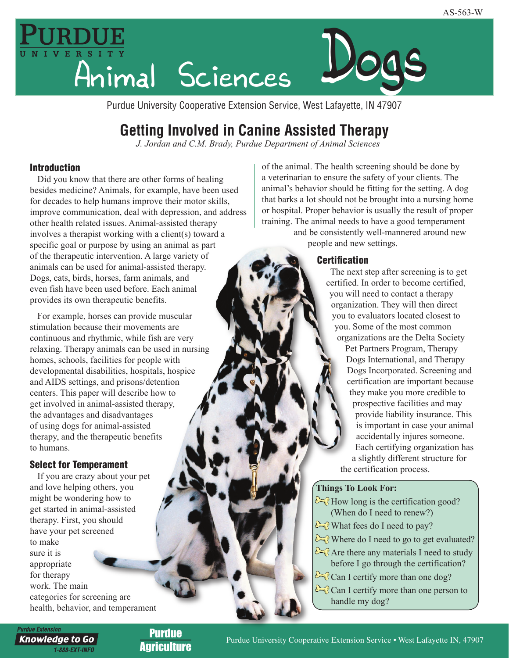

Purdue University Cooperative Extension Service, West Lafayette, IN 47907

# **Getting Involved in Canine Assisted Therapy**

*J. Jordan and C.M. Brady, Purdue Department of Animal Sciences*

## Introduction

Did you know that there are other forms of healing besides medicine? Animals, for example, have been used for decades to help humans improve their motor skills, improve communication, deal with depression, and address other health related issues. Animal-assisted therapy involves a therapist working with a client(s) toward a specific goal or purpose by using an animal as part of the therapeutic intervention. A large variety of animals can be used for animal-assisted therapy. Dogs, cats, birds, horses, farm animals, and even fish have been used before. Each animal provides its own therapeutic benefits.

For example, horses can provide muscular stimulation because their movements are continuous and rhythmic, while fish are very relaxing. Therapy animals can be used in nursing homes, schools, facilities for people with developmental disabilities, hospitals, hospice and AIDS settings, and prisons/detention centers. This paper will describe how to get involved in animal-assisted therapy, the advantages and disadvantages of using dogs for animal-assisted therapy, and the therapeutic benefits to humans.

## Select for Temperament

If you are crazy about your pet and love helping others, you might be wondering how to get started in animal-assisted therapy. First, you should have your pet screened to make sure it is appropriate for therapy work. The main categories for screening are health, behavior, and temperament of the animal. The health screening should be done by a veterinarian to ensure the safety of your clients. The animal's behavior should be fitting for the setting. A dog that barks a lot should not be brought into a nursing home or hospital. Proper behavior is usually the result of proper training. The animal needs to have a good temperament

and be consistently well-mannered around new people and new settings.

## **Certification**

The next step after screening is to get certified. In order to become certified, you will need to contact a therapy organization. They will then direct you to evaluators located closest to you. Some of the most common organizations are the Delta Society Pet Partners Program, Therapy Dogs International, and Therapy Dogs Incorporated. Screening and certification are important because they make you more credible to prospective facilities and may provide liability insurance. This is important in case your animal accidentally injures someone. Each certifying organization has a slightly different structure for the certification process.

### **Things To Look For:**

- $\infty$  How long is the certification good? (When do I need to renew?)
- $\sum$  What fees do I need to pay?
- $\sum$  Where do I need to go to get evaluated?
- $\sum_{n=0}^{\infty}$  Are there any materials I need to study before I go through the certification?
- Can I certify more than one dog?
- Can I certify more than one person to handle my dog?

**Purdue Extension** 

**Knowledge to Go** 1-888-EXT-INFO

Purdue **Agriculture**  1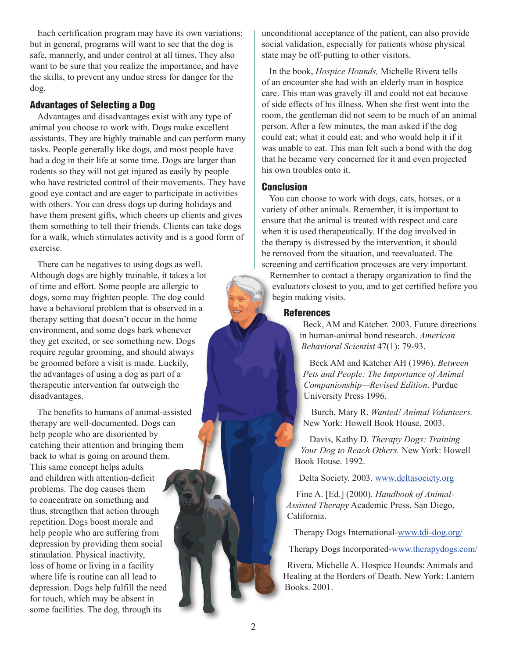Each certification program may have its own variations; but in general, programs will want to see that the dog is safe, mannerly, and under control at all times. They also want to be sure that you realize the importance, and have the skills, to prevent any undue stress for danger for the dog.

#### Advantages of Selecting a Dog

Advantages and disadvantages exist with any type of animal you choose to work with. Dogs make excellent assistants. They are highly trainable and can perform many tasks. People generally like dogs, and most people have had a dog in their life at some time. Dogs are larger than rodents so they will not get injured as easily by people who have restricted control of their movements. They have good eye contact and are eager to participate in activities with others. You can dress dogs up during holidays and have them present gifts, which cheers up clients and gives them something to tell their friends. Clients can take dogs for a walk, which stimulates activity and is a good form of exercise.

There can be negatives to using dogs as well. Although dogs are highly trainable, it takes a lot of time and effort. Some people are allergic to dogs, some may frighten people. The dog could have a behavioral problem that is observed in a therapy setting that doesn't occur in the home environment, and some dogs bark whenever they get excited, or see something new. Dogs require regular grooming, and should always be groomed before a visit is made. Luckily, the advantages of using a dog as part of a therapeutic intervention far outweigh the disadvantages.

The benefits to humans of animal-assisted therapy are well-documented. Dogs can help people who are disoriented by catching their attention and bringing them back to what is going on around them. This same concept helps adults and children with attention-deficit problems. The dog causes them to concentrate on something and thus, strengthen that action through repetition. Dogs boost morale and help people who are suffering from depression by providing them social stimulation. Physical inactivity, loss of home or living in a facility where life is routine can all lead to depression. Dogs help fulfill the need for touch, which may be absent in some facilities. The dog, through its

unconditional acceptance of the patient, can also provide social validation, especially for patients whose physical state may be off-putting to other visitors.

In the book, *Hospice Hounds,* Michelle Rivera tells of an encounter she had with an elderly man in hospice care. This man was gravely ill and could not eat because of side effects of his illness. When she first went into the room, the gentleman did not seem to be much of an animal person. After a few minutes, the man asked if the dog could eat; what it could eat; and who would help it if it was unable to eat. This man felt such a bond with the dog that he became very concerned for it and even projected his own troubles onto it.

#### Conclusion

You can choose to work with dogs, cats, horses, or a variety of other animals. Remember, it is important to ensure that the animal is treated with respect and care when it is used therapeutically. If the dog involved in the therapy is distressed by the intervention, it should be removed from the situation, and reevaluated. The screening and certification processes are very important.

Remember to contact a therapy organization to find the evaluators closest to you, and to get certified before you begin making visits.

#### **References**

Beck, AM and Katcher. 2003. Future directions in human-animal bond research. *American Behavioral Scientist* 47(1): 79-93.

Beck AM and Katcher AH (1996). *Between Pets and People: The Importance of Animal Companionship—Revised Edition*. Purdue University Press 1996.

Burch, Mary R. *Wanted! Animal Volunteers.* New York: Howell Book House, 2003.

Davis, Kathy D. *Therapy Dogs: Training Your Dog to Reach Others.* New York: Howell Book House. 1992.

Delta Society. 2003[. www.deltasociety.org](http://www.deltasociety.org)

Fine A. [Ed.] (2000). *Handbook of Animal-Assisted Therapy* Academic Press, San Diego, California.

Therapy Dogs Internation[al-www.tdi-dog.org/](http://www.tdi-dog.org/)

Therapy Dogs Incorporated[-www.therapydogs.com/](http://www.therapydogs.com/)

Rivera, Michelle A. Hospice Hounds: Animals and Healing at the Borders of Death. New York: Lantern Books. 2001.